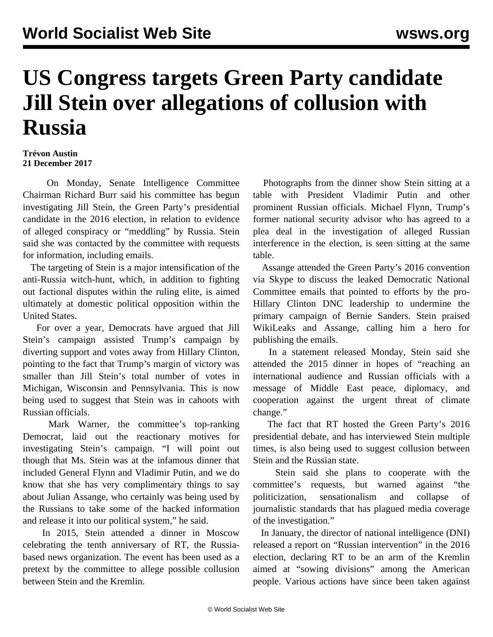## **US Congress targets Green Party candidate Jill Stein over allegations of collusion with Russia**

## **Trévon Austin 21 December 2017**

 On Monday, Senate Intelligence Committee Chairman Richard Burr said his committee has begun investigating Jill Stein, the Green Party's presidential candidate in the 2016 election, in relation to evidence of alleged conspiracy or "meddling" by Russia. Stein said she was contacted by the committee with requests for information, including emails.

 The targeting of Stein is a major intensification of the anti-Russia witch-hunt, which, in addition to fighting out factional disputes within the ruling elite, is aimed ultimately at domestic political opposition within the United States.

 For over a year, Democrats have argued that Jill Stein's campaign assisted Trump's campaign by diverting support and votes away from Hillary Clinton, pointing to the fact that Trump's margin of victory was smaller than Jill Stein's total number of votes in Michigan, Wisconsin and Pennsylvania. This is now being used to suggest that Stein was in cahoots with Russian officials.

 Mark Warner, the committee's top-ranking Democrat, laid out the reactionary motives for investigating Stein's campaign. "I will point out though that Ms. Stein was at the infamous dinner that included General Flynn and Vladimir Putin, and we do know that she has very complimentary things to say about Julian Assange, who certainly was being used by the Russians to take some of the hacked information and release it into our political system," he said.

 In 2015, Stein attended a dinner in Moscow celebrating the tenth anniversary of RT, the Russiabased news organization. The event has been used as a pretext by the committee to allege possible collusion between Stein and the Kremlin.

 Photographs from the dinner show Stein sitting at a table with President Vladimir Putin and other prominent Russian officials. Michael Flynn, Trump's former national security advisor who has agreed to a plea deal in the investigation of alleged Russian interference in the election, is seen sitting at the same table.

 Assange attended the Green Party's 2016 convention via Skype to discuss the leaked Democratic National Committee emails that pointed to efforts by the pro-Hillary Clinton DNC leadership to undermine the primary campaign of Bernie Sanders. Stein praised WikiLeaks and Assange, calling him a hero for publishing the emails.

 In a statement released Monday, Stein said she attended the 2015 dinner in hopes of "reaching an international audience and Russian officials with a message of Middle East peace, diplomacy, and cooperation against the urgent threat of climate change."

 The fact that RT hosted the Green Party's 2016 presidential debate, and has interviewed Stein multiple times, is also being used to suggest collusion between Stein and the Russian state.

 Stein said she plans to cooperate with the committee's requests, but warned against "the politicization, sensationalism and collapse of journalistic standards that has plagued media coverage of the investigation."

 In January, the director of national intelligence (DNI) released a report on "Russian intervention" in the 2016 election, declaring RT to be an arm of the Kremlin aimed at "sowing divisions" among the American people. Various actions have since been taken against